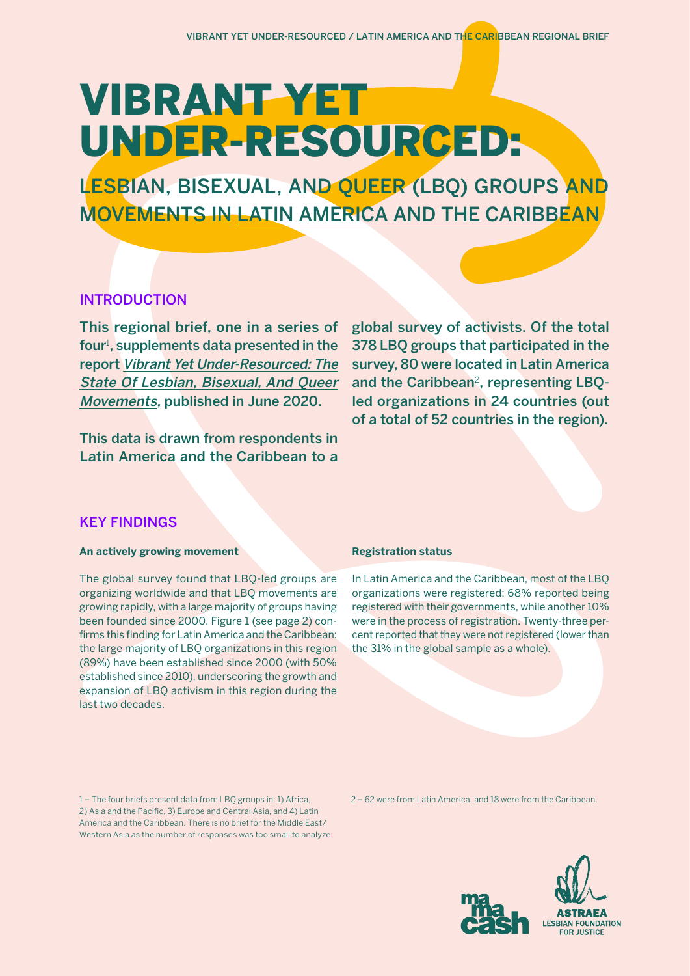# VIBRANT YET UNDER-RESOURCED:

LESBIAN, BISEXUAL, AND QUEER (LBQ) GROUPS AND MOVEMENTS IN LATIN AMERICA AND THE CARIBBEAN

# INTRODUCTION

This regional brief, one in a series of four<sup>1</sup>, supplements data presented in the report [Vibrant Yet Under-Resourced: The](https://fundlbq.org/)  [State Of Lesbian, Bisexual, And Queer](https://fundlbq.org/)  [Movements](https://fundlbq.org/), published in June 2020.

This data is drawn from respondents in Latin America and the Caribbean to a global survey of activists. Of the total 378 LBQ groups that participated in the survey, 80 were located in Latin America and the Caribbean<sup>2</sup>, representing LBOled organizations in 24 countries (out of a total of 52 countries in the region).

# KEY FINDINGS

# **An actively growing movement**

The global survey found that LBQ-led groups are organizing worldwide and that LBQ movements are growing rapidly, with a large majority of groups having been founded since 2000. Figure 1 (see page 2) confirms this finding for Latin America and the Caribbean: the large majority of LBQ organizations in this region (89%) have been established since 2000 (with 50% established since 2010), underscoring the growth and expansion of LBQ activism in this region during the last two decades.

## **Registration status**

In Latin America and the Caribbean, most of the LBQ organizations were registered: 68% reported being registered with their governments, while another 10% were in the process of registration. Twenty-three percent reported that they were not registered (lower than the 31% in the global sample as a whole).

1 – The four briefs present data from LBQ groups in: 1) Africa, 2) Asia and the Pacific, 3) Europe and Central Asia, and 4) Latin America and the Caribbean. There is no brief for the Middle East/ Western Asia as the number of responses was too small to analyze. 2 – 62 were from Latin America, and 18 were from the Caribbean.

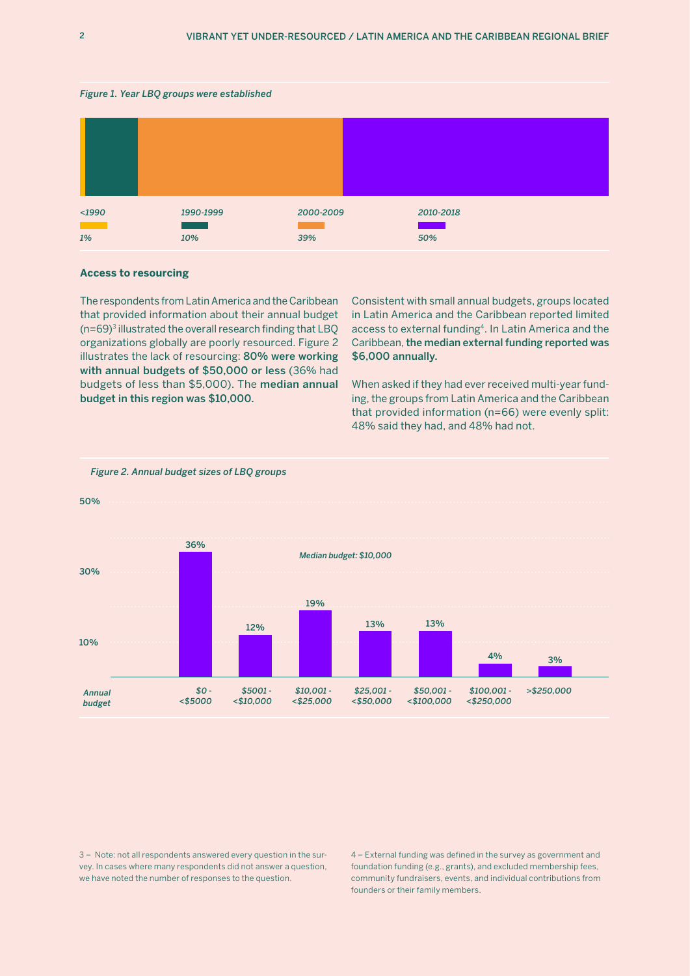#### *Figure 1. Year LBQ groups were established*

| $1990$<br>1% | 1990-1999<br><b>Service Service</b><br>10% | 2000-2009<br>39% | 2010-2018<br><b>Service Service</b><br>50% |  |
|--------------|--------------------------------------------|------------------|--------------------------------------------|--|

#### **Access to resourcing**

The respondents from Latin America and the Caribbean that provided information about their annual budget  $(n=69)^3$  illustrated the overall research finding that LBQ organizations globally are poorly resourced. Figure 2 illustrates the lack of resourcing: 80% were working with annual budgets of \$50,000 or less (36% had budgets of less than \$5,000). The median annual budget in this region was \$10,000.

Consistent with small annual budgets, groups located in Latin America and the Caribbean reported limited access to external funding4. In Latin America and the Caribbean, the median external funding reported was \$6,000 annually.

When asked if they had ever received multi-year funding, the groups from Latin America and the Caribbean that provided information (n=66) were evenly split: 48% said they had, and 48% had not.



#### *Figure 2. Annual budget sizes of LBQ groups*

3 – Note: not all respondents answered every question in the survey. In cases where many respondents did not answer a question, we have noted the number of responses to the question.

4 – External funding was defined in the survey as government and foundation funding (e.g., grants), and excluded membership fees, community fundraisers, events, and individual contributions from founders or their family members.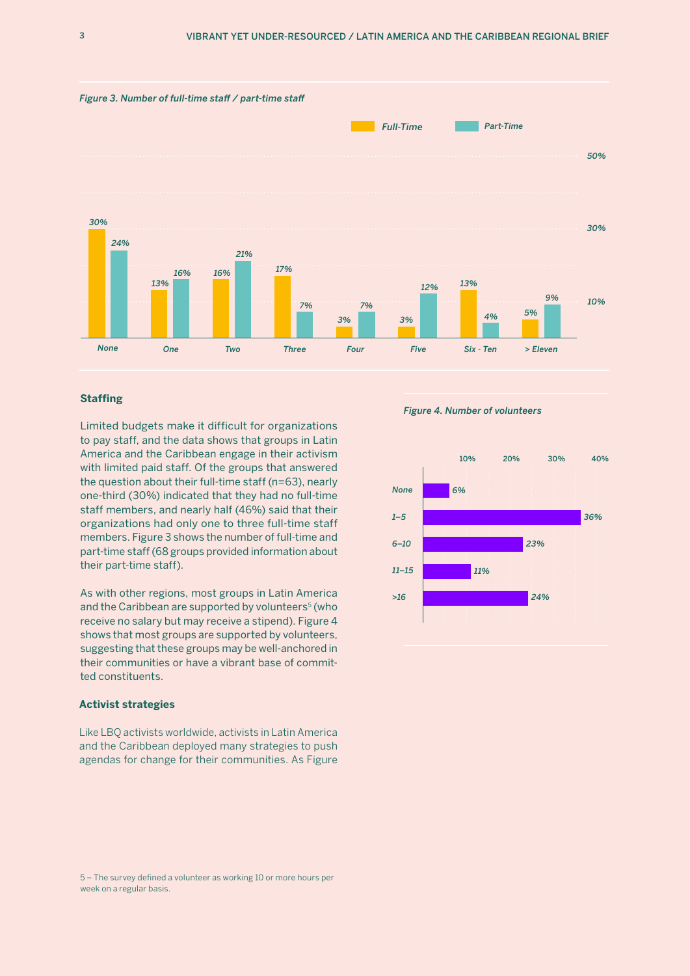

## **Staffing**

Limited budgets make it difficult for organizations to pay staff, and the data shows that groups in Latin America and the Caribbean engage in their activism with limited paid staff. Of the groups that answered the question about their full-time staff (n=63), nearly one-third (30%) indicated that they had no full-time staff members, and nearly half (46%) said that their organizations had only one to three full-time staff members. Figure 3 shows the number of full-time and part-time staff (68 groups provided information about their part-time staff).

As with other regions, most groups in Latin America and the Caribbean are supported by volunteers<sup>5</sup> (who receive no salary but may receive a stipend). Figure 4 shows that most groups are supported by volunteers, suggesting that these groups may be well-anchored in their communities or have a vibrant base of committed constituents.

#### **Activist strategies**

Like LBQ activists worldwide, activists in Latin America and the Caribbean deployed many strategies to push agendas for change for their communities. As Figure

*Figure 4. Number of volunteers*



<sup>5 –</sup> The survey defined a volunteer as working 10 or more hours per week on a regular basis.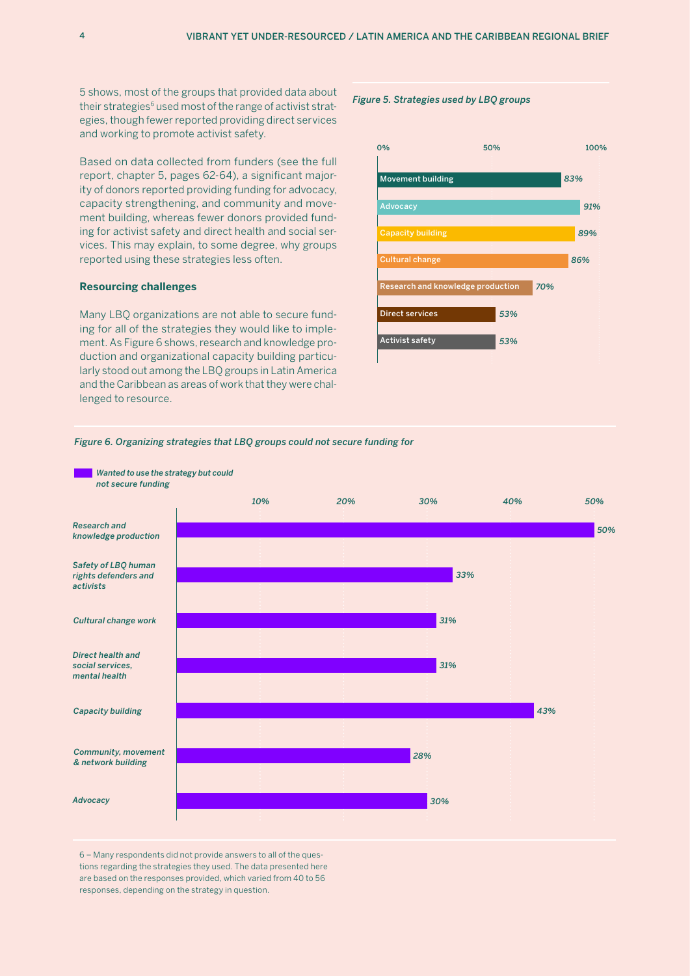5 shows, most of the groups that provided data about their strategies<sup>6</sup> used most of the range of activist strategies, though fewer reported providing direct services and working to promote activist safety.

Based on data collected from funders (see the full report, chapter 5, pages 62-64), a significant majority of donors reported providing funding for advocacy, capacity strengthening, and community and movement building, whereas fewer donors provided funding for activist safety and direct health and social services. This may explain, to some degree, why groups reported using these strategies less often.

### **Resourcing challenges**

Many LBQ organizations are not able to secure funding for all of the strategies they would like to implement. As Figure 6 shows, research and knowledge production and organizational capacity building particularly stood out among the LBQ groups in Latin America and the Caribbean as areas of work that they were challenged to resource.

#### *Figure 5. Strategies used by LBQ groups*



#### *Figure 6. Organizing strategies that LBQ groups could not secure funding for*



6 – Many respondents did not provide answers to all of the questions regarding the strategies they used. The data presented here are based on the responses provided, which varied from 40 to 56 responses, depending on the strategy in question.